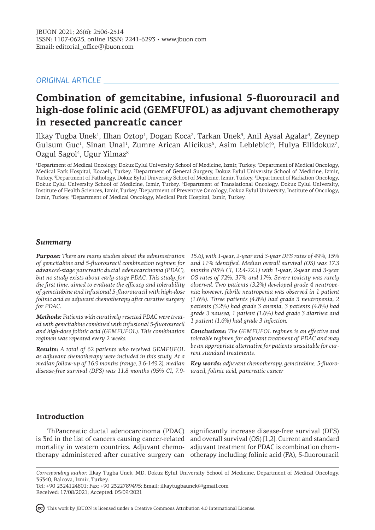# *ORIGINAL ARTICLE*

# **Combination of gemcitabine, infusional 5-fluorouracil and high-dose folinic acid (GEMFUFOL) as adjuvant chemotherapy in resected pancreatic cancer**

Ilkay Tugba Unek<sup>1</sup>, Ilhan Oztop<sup>1</sup>, Dogan Koca<sup>2</sup>, Tarkan Unek<sup>3</sup>, Anil Aysal Agalar<sup>4</sup>, Zeynep Gulsum Guc<sup>1</sup>, Sinan Unal<sup>1</sup>, Zumre Arican Alicikus<sup>5</sup>, Asim Leblebici<sup>6</sup>, Hulya Ellidokuz<sup>7</sup>, Ozgul Sagol<sup>4</sup>, Ugur Yilmaz<sup>8</sup>

<sup>1</sup>Department of Medical Oncology, Dokuz Eylul University School of Medicine, Izmir, Turkey. <sup>2</sup>Department of Medical Oncology, Medical Park Hospital, Kocaeli, Turkey. <sup>3</sup>Department of General Surgery, Dokuz Eylul University School of Medicine, Izmir, Turkey. <sup>4</sup> Department of Pathology, Dokuz Eylul University School of Medicine, Izmir, Turkey. <sup>5</sup> Department of Radiation Oncology, Dokuz Eylul University School of Medicine, Izmir, Turkey. <sup>6</sup>Department of Translational Oncology, Dokuz Eylul University, Institute of Health Sciences, Izmir, Turkey. <sup>7</sup> Department of Preventive Oncology, Dokuz Eylul University, Institute of Oncology, Izmir, Turkey. 8 Department of Medical Oncology, Medical Park Hospital, Izmir, Turkey.

# *Summary*

*Purpose: There are many studies about the administration of gemcitabine and 5-fluorouracil combination regimen for advanced-stage pancreatic ductal adenocarcinoma (PDAC), but no study exists about early-stage PDAC. This study, for the first time, aimed to evaluate the efficacy and tolerability of gemcitabine and infusional 5-fluorouracil with high-dose folinic acid as adjuvant chemotherapy after curative surgery for PDAC.* 

*Methods: Patients with curatively resected PDAC were treated with gemcitabine combined with infusional 5-fluorouracil and high-dose folinic acid (GEMFUFOL). This combination regimen was repeated every 2 weeks.*

*Results: A total of 62 patients who received GEMFUFOL as adjuvant chemotherapy were included in this study. At a median follow-up of 16.9 months (range, 3.6-149.2), median disease-free survival (DFS) was 11.8 months (95% CI, 7.9-*

*15.6), with 1-year, 2-year and 3-year DFS rates of 49%, 15% and 11% identified. Median overall survival (OS) was 17.3 months (95% CI, 12.4-22.1) with 1-year, 2-year and 3-year OS rates of 72%, 37% and 17%. Severe toxicity was rarely observed. Two patients (3.2%) developed grade 4 neutropenia; however, febrile neutropenia was observed in 1 patient (1.6%). Three patients (4.8%) had grade 3 neutropenia, 2 patients (3.2%) had grade 3 anemia, 3 patients (4.8%) had grade 3 nausea, 1 patient (1.6%) had grade 3 diarrhea and 1 patient (1.6%) had grade 3 infection.*

*Conclusions: The GEMFUFOL regimen is an effective and tolerable regimen for adjuvant treatment of PDAC and may be an appropriate alternative for patients unsuitable for current standard treatments.*

*Key words: adjuvant chemotherapy, gemcitabine, 5-fluorouracil, folinic acid, pancreatic cancer*

# **Introduction**

mortality in western countries. Adjuvant chemo-adjuvant treatment for PDAC is combination chem-

ThPancreatic ductal adenocarcinoma (PDAC) significantly increase disease-free survival (DFS) is 3rd in the list of cancers causing cancer-related and overall survival (OS) [1,2]. Current and standard therapy administered after curative surgery can otherapy including folinic acid (FA), 5-fluorouracil

*Corresponding author:* Ilkay Tugba Unek, MD. Dokuz Eylul University School of Medicine, Department of Medical Oncology, 35340, Balcova, Izmir, Turkey.

Tel: +90 2324124801; Fax: +90 2322789495; Email: ilkaytugbaunek@gmail.com Received: 17/08/2021; Accepted: 05/09/2021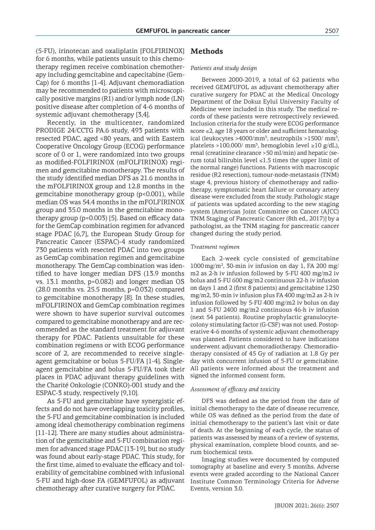(5-FU), irinotecan and oxaliplatin [FOLFIRINOX] for 6 months, while patients unsuit to this chemotherapy regimen receive combination chemotherapy including gemcitabine and capecitabine (Gem-Cap) for 6 months [1-4]. Adjuvant chemoradiation may be recommended to patients with microscopically positive margins (R1) and/or lymph node (LN) positive disease after completion of 4-6 months of systemic adjuvant chemotherapy [3,4].

Recently, in the multicenter, randomized PRODIGE 24/CCTG PA.6 study, 493 patients with resected PDAC, aged <80 years, and with Eastern Cooperative Oncology Group (ECOG) performance score of 0 or 1, were randomized into two groups as modified-FOLFIRINOX (mFOLFIRINOX) regimen and gemcitabine monotherapy. The results of the study identified median DFS as 21.6 months in the mFOLFIRINOX group and 12.8 months in the gemcitabine monotherapy group (p<0.001), while median OS was 54.4 months in the mFOLFIRINOX group and 35.0 months in the gemcitabine monotherapy group (p=0.003) [5]. Based on efficacy data for the GemCap combination regimen for advanced stage PDAC [6,7], the European Study Group for Pancreatic Cancer (ESPAC)-4 study randomized 730 patients with resected PDAC into two groups as GemCap combination regimen and gemcitabine monotherapy. The GemCap combination was identified to have longer median DFS (13.9 months vs. 13.1 months, p=0.082) and longer median OS (28.0 months vs. 25.5 months, p=0.032) compared to gemcitabine monotherapy [8]. In these studies, mFOLFIRINOX and GemCap combination regimes were shown to have superior survival outcomes compared to gemcitabine monotherapy and are recommended as the standard treatment for adjuvant therapy for PDAC. Patients unsuitable for these combination regimens or with ECOG performance score of 2, are recommended to receive singleagent gemcitabine or bolus 5-FU/FA [1-4]. Singleagent gemcitabine and bolus 5-FU/FA took their places in PDAC adjuvant therapy guidelines with the Charité Onkologie (CONKO)-001 study and the ESPAC-3 study, respectively [9,10].

As 5-FU and gemcitabine have synergistic effects and do not have overlapping toxicity profiles, the 5-FU and gemcitabine combination is included among ideal chemotherapy combination regimens [11-12]. There are many studies about administration of the gemcitabine and 5-FU combination regimen for advanced stage PDAC [13-19], but no study was found about early-stage PDAC. This study, for the first time, aimed to evaluate the efficacy and tolerability of gemcitabine combined with infusional 5-FU and high-dose FA (GEMFUFOL) as adjuvant chemotherapy after curative surgery for PDAC.

## **Methods**

#### *Patients and study design*

Between 2000-2019, a total of 62 patients who received GEMFUFOL as adjuvant chemotherapy after curative surgery for PDAC at the Medical Oncology Department of the Dokuz Eylul University Faculty of Medicine were included in this study. The medical records of these patients were retrospectively reviewed. Inclusion criteria for the study were ECOG performance score ≤2, age 18 years or older and sufficient hematological (leukocytes > 4000/ $\text{mm}^3$ , neutrophils > 1500/ $\text{mm}^3$ , platelets >100.000/ mm<sup>3</sup>, hemoglobin level ≥10 g/dL), renal (creatinine clearance >50 ml/min) and hepatic (serum total bilirubin level  $\leq$ 1.5 times the upper limit of the normal range) functions. Patients with macroscopic residue (R2 resection), tumour-node-metastasis (TNM) stage 4, previous history of chemotherapy and radiotherapy, symptomatic heart failure or coronary artery disease were excluded from the study. Pathologic stage of patients was updated according to the new staging system [American Joint Committee on Cancer (AJCC) TNM Staging of Pancreatic Cancer (8th ed., 2017)] by a pathologist, as the TNM staging for pancreatic cancer changed during the study period.

#### *Treatment regimen*

Each 2-week cycle consisted of gemcitabine  $1000 \,\mathrm{mg/m^2}$ , 30-min iv infusion on day 1, FA 200 mg/ m2 as 2-h iv infusion followed by 5-FU 400 mg/m2 iv bolus and 5-FU 600 mg/m2 continuous 22-h iv infusion on days 1 and 2 (first 8 patients) and gemcitabine 1250 mg/m2, 30-min iv infusion plus FA 400 mg/m2 as 2-h iv infusion followed by 5-FU 400 mg/m2 iv bolus on day 1 and 5-FU 2400 mg/m2 continuous 46-h iv infusion (next 54 patients). Routine prophylactic granulocytecolony stimulating factor (G-CSF) was not used. Postoperative 4-6 months of systemic adjuvant chemotherapy was planned. Patients considered to have indications underwent adjuvant chemoradiotherapy. Chemoradiotherapy consisted of 45 Gy of radiation at 1,8 Gy per day with concurrent infusion of 5-FU or gemcitabine. All patients were informed about the treatment and signed the informed consent form.

#### *Assessment of efficacy and toxicity*

DFS was defined as the period from the date of initial chemotherapy to the date of disease recurrence, while OS was defined as the period from the date of initial chemotherapy to the patient's last visit or date of death. At the beginning of each cycle, the status of patients was assessed by means of a review of systems, physical examination, complete blood counts, and serum biochemical tests.

Imaging studies were documented by computed tomography at baseline and every 3 months. Adverse events were graded according to the National Cancer Institute Common Terminology Criteria for Adverse Events, version 3.0.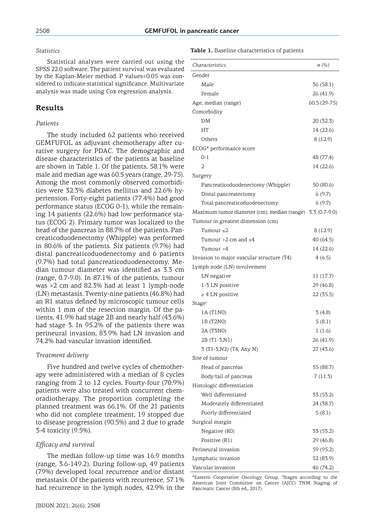### *Statistics*

Statistical analyses were carried out using the SPSS 22.0 software. The patient survival was evaluated by the Kaplan-Meier method. P values<0.05 was considered to indicate statistical significance. Multivariate analysis was made using Cox regression analysis.

## **Results**

#### *Patients*

The study included 62 patients who received GEMFUFOL as adjuvant chemotherapy after curative surgery for PDAC. The demographic and disease characteristics of the patients at baseline are shown in Table 1. Of the patients, 58.1% were male and median age was 60.5 years (range, 29-75). Among the most commonly observed comorbidities were 32.3% diabetes mellitus and 22.6% hypertension. Forty-eight patients (77.4%) had good performance status (ECOG 0-1), while the remaining 14 patients (22.6%) had low performance status (ECOG 2). Primary tumor was localized to the head of the pancreas in 88.7% of the patients. Pancreaticoduodenectomy (Whipple) was performed in 80.6% of the patients. Six patients (9.7%) had distal pancreaticoduodenectomy and 6 patients (9.7%) had total pancreaticoduodenectomy. Median tumour diameter was identified as 3.3 cm (range, 0.7-9.0). In 87.1% of the patients, tumour was >2 cm and 82.3% had at least 1 lymph-node (LN) metastasis. Twenty-nine patients (46.8%) had an R1 status defined by microscopic tumour cells within 1 mm of the resection margin. Of the patients, 41.9% had stage 2B and nearly half (43.6%) had stage 3. In 95.2% of the patients there was perineural invasion, 83.9% had LN invasion and 74.2% had vascular invasion identified.

#### *Treatment delivery*

Five hundred and twelve cycles of chemotherapy were administered with a median of 8 cycles ranging from 2 to 12 cycles. Fourty-four (70.9%) patients were also treated with concurrent chemoradiotherapy. The proportion completing the planned treatment was 66.1%. Of the 21 patients who did not complete treatment, 19 stopped due to disease progression (90.5%) and 2 due to grade 3-4 toxicity (9.5%).

#### *Efficacy and survival*

The median follow-up time was 16.9 months (range, 3.6-149.2). During follow-up, 49 patients (79%) developed local recurrence and/or distant metastasis. Of the patients with recurrence, 57.1% had recurrence in the lymph nodes, 42.9% in the

#### **Table 1.** Baseline characteristics of patients

| Characteristics                                           | n(%)          |
|-----------------------------------------------------------|---------------|
| Gender                                                    |               |
| Male                                                      | 36(58.1)      |
| Female                                                    | 26 (41.9)     |
| Age, median (range)                                       | $60.5(29-75)$ |
| Comorbidity                                               |               |
| DM                                                        | 20 (32.3)     |
| HT                                                        | 14 (22.6)     |
| Others                                                    | 8(12.9)       |
| ECOG* performance score                                   |               |
| $0 - 1$                                                   | 48 (77.4)     |
| 2                                                         | 14 (22.6)     |
| Surgery                                                   |               |
| Pancreaticoduodenectomy (Whipple)                         | 50 (80.6)     |
| Distal pancreatectomy                                     | 6(9.7)        |
| Total pancreaticoduodenectomy                             | 6(9.7)        |
| Maximum tumor diameter (cm), median (range) 3.3 (0.7-9.0) |               |
| Tumour in greatest dimension (cm)                         |               |
| Tumour $\leq$ 2                                           | 8(12.9)       |
| Tumour >2 cm and $\leq 4$                                 | 40 (64.5)     |
| Tumour >4                                                 | 14 (22.6)     |
| Invasion to major vascular structure (T4)                 | 4(6.5)        |
| Lymph node (LN) involvement                               |               |
| LN negative                                               | 11(17.7)      |
| 1-3 LN positive                                           | 29 (46.8)     |
| $\geq 4$ LN positive                                      | 22 (35.5)     |
| Stage <sup>+</sup>                                        |               |
| 1A (T1N0)                                                 | 3(4.8)        |
| 1B (T2N0)                                                 | 5(8.1)        |
| 2A (T3N0)                                                 | 1(1.6)        |
| 2B (T1-3,N1)                                              | 26 (41.9)     |
| 3 (T1-3, N2) (T4, Any N)                                  | 27 (43.6)     |
| Site of tumour                                            |               |
| Head of pancreas                                          | 55 (88.7)     |
| Body/tail of pancreas                                     | 7(11.3)       |
| Histologic differentiation                                |               |
| Well differentiated                                       | 33 (53.2)     |
| Moderately differentiated                                 | 24 (38.7)     |
| Poorly differentiated                                     | 5(8.1)        |
| Surgical margin                                           |               |
| Negative (R0)                                             | 33 (53.2)     |
| Positive (R1)                                             | 29 (46.8)     |
| Perineural invasion                                       | 59 (95.2)     |
| Lymphatic invasion                                        | 52 (83.9)     |
| Vascular invasion                                         | 46 (74.2)     |

\*Eastern Cooperative Oncology Group, † Stages according to the American Joint Committee on Cancer (AJCC) TNM Staging of Pancreatic Cancer (8th ed., 2017).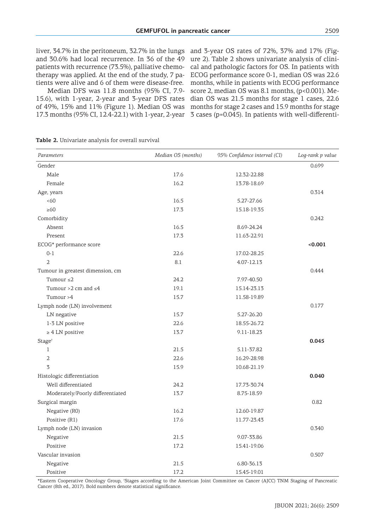liver, 34.7% in the peritoneum, 32.7% in the lungs and 30.6% had local recurrence. In 36 of the 49 patients with recurrence (73.5%), palliative chemotherapy was applied. At the end of the study, 7 patients were alive and 6 of them were disease-free.

Median DFS was 11.8 months (95% CI, 7.9- 15.6), with 1-year, 2-year and 3-year DFS rates of 49%, 15% and 11% (Figure 1). Median OS was

17.3 months (95% CI, 12.4-22.1) with 1-year, 2-year 3 cases (p=0.045). In patients with well-differentiand 3-year OS rates of 72%, 37% and 17% (Figure 2). Table 2 shows univariate analysis of clinical and pathologic factors for OS. In patients with ECOG performance score 0-1, median OS was 22.6 months, while in patients with ECOG performance score 2, median OS was 8.1 months, (p<0.001). Median OS was 21.5 months for stage 1 cases, 22.6 months for stage 2 cases and 15.9 months for stage

**Table 2.** Univariate analysis for overall survival

| Parameters                       | Median OS (months) | 95% Confidence interval (CI) | Log-rank p value |
|----------------------------------|--------------------|------------------------------|------------------|
| Gender                           |                    |                              | 0.699            |
| Male                             | 17.6               | 12.32-22.88                  |                  |
| Female                           | 16.2               | 13.78-18.69                  |                  |
| Age, years                       |                    |                              | 0.314            |
| <60                              | 16.5               | 5.27-27.66                   |                  |
| $\geq 60$                        | 17.3               | 15.18-19.35                  |                  |
| Comorbidity                      |                    |                              | 0.242            |
| Absent                           | 16.5               | 8.69-24.24                   |                  |
| Present                          | 17.3               | 11.63-22.91                  |                  |
| ECOG* performance score          |                    |                              | < 0.001          |
| $0 - 1$                          | 22.6               | 17.02-28.25                  |                  |
| $\overline{2}$                   | 8.1                | 4.07-12.13                   |                  |
| Tumour in greatest dimension, cm |                    |                              | 0.444            |
| Tumour $\leq 2$                  | 24.2               | 7.97-40.50                   |                  |
| Tumour > 2 cm and $\leq 4$       | 19.1               | 15.14-23.13                  |                  |
| Tumour >4                        | 15.7               | 11.58-19.89                  |                  |
| Lymph node (LN) involvement      |                    |                              | 0.177            |
| LN negative                      | 15.7               | 5.27-26.20                   |                  |
| 1-3 LN positive                  | 22.6               | 18.55-26.72                  |                  |
| $\geq 4$ LN positive             | 13.7               | 9.11-18.23                   |                  |
| Stage <sup>†</sup>               |                    |                              | 0.045            |
| $\mathbf{1}$                     | 21.5               | 5.11-37.82                   |                  |
| $\overline{2}$                   | 22.6               | 16.29-28.98                  |                  |
| 3                                | 15.9               | 10.68-21.19                  |                  |
| Histologic differentiation       |                    |                              | 0.040            |
| Well differentiated              | 24.2               | 17.73-30.74                  |                  |
| Moderately/Poorly differentiated | 13.7               | 8.75-18.59                   |                  |
| Surgical margin                  |                    |                              | 0.82             |
| Negative (R0)                    | 16.2               | 12.60-19.87                  |                  |
| Positive (R1)                    | 17.6               | 11.77-23.43                  |                  |
| Lymph node (LN) invasion         |                    |                              | 0.340            |
| Negative                         | 21.5               | 9.07-33.86                   |                  |
| Positive                         | 17.2               | 15.41-19.06                  |                  |
| Vascular invasion                |                    |                              | 0.507            |
| Negative                         | 21.5               | 6.80-36.13                   |                  |
| Positive                         | 17.2               | 15.45-19.01                  |                  |

\*Eastern Cooperative Oncology Group, † Stages according to the American Joint Committee on Cancer (AJCC) TNM Staging of Pancreatic Cancer (8th ed., 2017). Bold numbers denote statistical significance.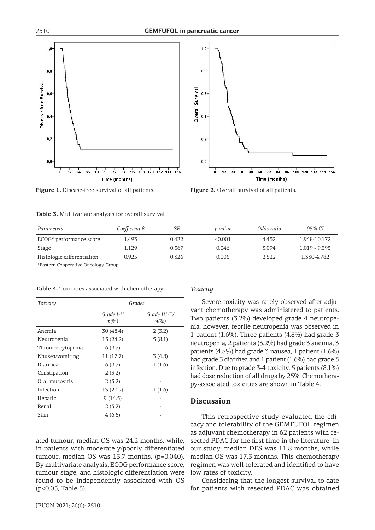



**Figure 1.** Disease-free survival of all patients. **Figure 2.** Overall survival of all patients.

| Table 3. Multivariate analysis for overall survival |
|-----------------------------------------------------|
|-----------------------------------------------------|

| Parameters                 | $Coefficient \beta$ | SЕ    | p value | Odds ratio | 95% CI          |
|----------------------------|---------------------|-------|---------|------------|-----------------|
| ECOG* performance score    | 1.493               | 0.422 | < 0.001 | 4.452      | 1.948-10.172    |
| Stage                      | 1.129               | 0.567 | 0.046   | 3.094      | $1.019 - 9.395$ |
| Histologic differentiation | 0.925               | 0.326 | 0.005   | 2.522      | 1.330-4.782     |

\*Eastern Cooperative Oncology Group

|  |  | <b>Table 4.</b> Toxicities associated with chemotherapy |  |  |  |
|--|--|---------------------------------------------------------|--|--|--|
|--|--|---------------------------------------------------------|--|--|--|

| Toxicity         | Grades                            |                                     |  |
|------------------|-----------------------------------|-------------------------------------|--|
|                  | Grade I-II<br>$n\llap{$\otimes$}$ | Grade III-IV<br>$n\llap{$\otimes$}$ |  |
| Anemia           | 30 (48.4)                         | 2(3.2)                              |  |
| Neutropenia      | 15(24.2)                          | 5(8.1)                              |  |
| Thrombocytopenia | 6(9.7)                            |                                     |  |
| Nausea/vomiting  | 11(17.7)                          | 3(4.8)                              |  |
| Diarrhea         | 6(9.7)                            | 1(1.6)                              |  |
| Constipation     | 2(3.2)                            |                                     |  |
| Oral mucositis   | 2(3.2)                            |                                     |  |
| Infection        | 13 (20.9)                         | 1(1.6)                              |  |
| Hepatic          | 9(14.5)                           |                                     |  |
| Renal            | 2(3.2)                            |                                     |  |
| Skin             | 4(6.5)                            |                                     |  |

ated tumour, median OS was 24.2 months, while, in patients with moderately/poorly differentiated tumour, median OS was 13.7 months, (p=0.040). By multivariate analysis, ECOG performance score, tumour stage, and histologic differentiation were found to be independently associated with OS (p<0.05, Table 3).

#### *Toxicity*

Severe toxicity was rarely observed after adjuvant chemotherapy was administered to patients. Two patients (3.2%) developed grade 4 neutropenia; however, febrile neutropenia was observed in 1 patient (1.6%). Three patients (4.8%) had grade 3 neutropenia, 2 patients (3.2%) had grade 3 anemia, 3 patients (4.8%) had grade 3 nausea, 1 patient (1.6%) had grade 3 diarrhea and 1 patient (1.6%) had grade 3 infection. Due to grade 3-4 toxicity, 5 patients (8.1%) had dose reduction of all drugs by 25%. Chemotherapy-associated toxicities are shown in Table 4.

## **Discussion**

This retrospective study evaluated the efficacy and tolerability of the GEMFUFOL regimen as adjuvant chemotherapy in 62 patients with resected PDAC for the first time in the literature. In our study, median DFS was 11.8 months, while median OS was 17.3 months. This chemotherapy regimen was well tolerated and identified to have low rates of toxicity.

Considering that the longest survival to date for patients with resected PDAC was obtained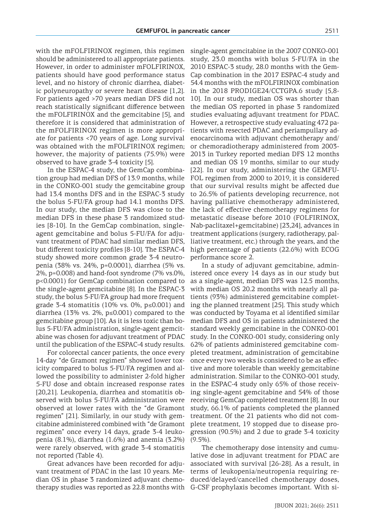with the mFOLFIRINOX regimen, this regimen should be administered to all appropriate patients. However, in order to administer mFOLFIRINOX, patients should have good performance status level, and no history of chronic diarrhea, diabetic polyneuropathy or severe heart disease [1,2]. For patients aged >70 years median DFS did not reach statistically significant difference between the mFOLFIRINOX and the gemcitabine [5], and therefore it is considered that administration of the mFOLFIRINOX regimen is more appropriate for patients <70 years of age. Long survival was obtained with the mFOLFIRINOX regimen; however, the majority of patients (75.9%) were observed to have grade 3-4 toxicity [5].

In the ESPAC-4 study, the GemCap combination group had median DFS of 13.9 months, while in the CONKO-001 study the gemcitabine group had 13.4 months DFS and in the ESPAC-3 study the bolus 5-FU/FA group had 14.1 months DFS. In our study, the median DFS was close to the median DFS in these phase 3 randomized studies [8-10]. In the GemCap combination, singleagent gemcitabine and bolus 5-FU/FA for adjuvant treatment of PDAC had similar median DFS, but different toxicity profiles [8-10]. The ESPAC-4 study showed more common grade 3-4 neutropenia (38% vs. 24%, p=0.0001), diarrhea (5% vs. 2%, p=0.008) and hand-foot syndrome (7% vs.0%, p<0.0001) for GemCap combination compared to the single-agent gemcitabine [8]. In the ESPAC-3 study, the bolus 5-FU/FA group had more frequent grade 3-4 stomatitis  $(10\% \text{ vs. } 0\%, \text{ p} \le 0.001)$  and diarrhea (13% vs. 2%, p≤0.001) compared to the gemcitabine group [10]. As it is less toxic than bolus 5-FU/FA administration, single-agent gemcitabine was chosen for adjuvant treatment of PDAC until the publication of the ESPAC-4 study results.

For colorectal cancer patients, the once every 14-day "de Gramont regimen" showed lower toxicity compared to bolus 5-FU/FA regimen and allowed the possibility to administer 2-fold higher 5-FU dose and obtain increased response rates [20,21]. Leukopenia, diarrhea and stomatitis observed with bolus 5-FU/FA administration were observed at lower rates with the "de Gramont regimen" [21]. Similarly, in our study with gemcitabine administered combined with "de Gramont regimen" once every 14 days, grade 3-4 leukopenia (8.1%), diarrhea (1.6%) and anemia (3.2%) were rarely observed, with grade 3-4 stomatitis not reported (Table 4).

Great advances have been recorded for adjuvant treatment of PDAC in the last 10 years. Median OS in phase 3 randomized adjuvant chemotherapy studies was reported as 22.8 months with G-CSF prophylaxis becomes important. With si-

single-agent gemcitabine in the 2007 CONKO-001 study, 23.0 months with bolus 5-FU/FA in the 2010 ESPAC-3 study, 28.0 months with the Gem-Cap combination in the 2017 ESPAC-4 study and 54.4 months with the mFOLFIRINOX combination in the 2018 PRODIGE24/CCTGPA.6 study [5,8- 10]. In our study, median OS was shorter than the median OS reported in phase 3 randomized studies evaluating adjuvant treatment for PDAC. However, a retrospective study evaluating 472 patients with resected PDAC and periampullary adenocarcinoma with adjuvant chemotherapy and/ or chemoradiotherapy administered from 2003- 2013 in Turkey reported median DFS 12 months and median OS 19 months, similar to our study [22]. In our study, administering the GEMFU-FOL regimen from 2000 to 2019, it is considered that our survival results might be affected due to 26.5% of patients developing recurrence, not having palliative chemotherapy administered, the lack of effective chemotherapy regimens for metastatic disease before 2010 (FOLFIRINOX, Nab-paclitaxel+gemcitabine) [23,24], advances in treatment applications (surgery, radiotherapy, palliative treatment, etc.) through the years, and the high percentage of patients (22.6%) with ECOG performance score 2.

In a study of adjuvant gemcitabine, administered once every 14 days as in our study but as a single-agent, median DFS was 12.5 months, with median OS 20.2 months with nearly all patients (93%) administered gemcitabine completing the planned treatment [25]. This study which was conducted by Toyama et al identified similar median DFS and OS in patients administered the standard weekly gemcitabine in the CONKO-001 study. In the CONKO-001 study, considering only 62% of patients administered gemcitabine completed treatment, administration of gemcitabine once every two weeks is considered to be as effective and more tolerable than weekly gemcitabine administration. Similar to the CONKO-001 study, in the ESPAC-4 study only 65% of those receiving single-agent gemcitabine and 54% of those receiving GemCap completed treatment [8]. In our study, 66.1% of patients completed the planned treatment. Of the 21 patients who did not complete treatment, 19 stopped due to disease progression (90.5%) and 2 due to grade 3-4 toxicity  $(9.5\%)$ .

The chemotherapy dose intensity and cumulative dose in adjuvant treatment for PDAC are associated with survival [26-28]. As a result, in terms of leukopenia/neutropenia requiring reduced/delayed/cancelled chemotherapy doses,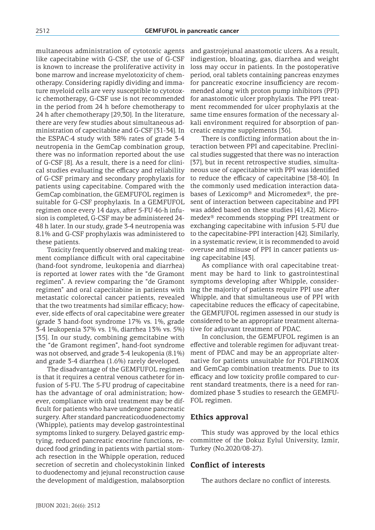multaneous administration of cytotoxic agents like capecitabine with G-CSF, the use of G-CSF is known to increase the proliferative activity in bone marrow and increase myelotoxicity of chemotherapy. Considering rapidly dividing and immature myeloid cells are very susceptible to cytotoxic chemotherapy, G-CSF use is not recommended in the period from 24 h before chemotherapy to 24 h after chemotherapy [29,30]. In the literature, there are very few studies about simultaneous administration of capecitabine and G-CSF [31-34]. In the ESPAC-4 study with 38% rates of grade 3-4 neutropenia in the GemCap combination group, there was no information reported about the use of G-CSF [8]. As a result, there is a need for clinical studies evaluating the efficacy and reliability of G-CSF primary and secondary prophylaxis for patients using capecitabine. Compared with the GemCap combination, the GEMFUFOL regimen is suitable for G-CSF prophylaxis. In a GEMFUFOL regimen once every 14 days, after 5-FU 46-h infusion is completed, G-CSF may be administered 24- 48 h later. In our study, grade 3-4 neutropenia was 8.1% and G-CSF prophylaxis was administered to these patients.

Toxicity frequently observed and making treatment compliance difficult with oral capecitabine (hand-foot syndrome, leukopenia and diarrhea) is reported at lower rates with the "de Gramont regimen". A review comparing the "de Gramont regimen" and oral capecitabine in patients with metastatic colorectal cancer patients, revealed that the two treatments had similar efficacy; however, side effects of oral capecitabine were greater (grade 3 hand-foot syndrome 17% vs. 1%, grade 3-4 leukopenia 37% vs. 1%, diarrhea 13% vs. 5%) [35]. In our study, combining gemcitabine with the "de Gramont regimen", hand-foot syndrome was not observed, and grade 3-4 leukopenia (8.1%) and grade 3-4 diarrhea (1.6%) rarely developed.

The disadvantage of the GEMFUFOL regimen is that it requires a central venous catheter for infusion of 5-FU. The 5-FU prodrug of capecitabine has the advantage of oral administration; however, compliance with oral treatment may be difficult for patients who have undergone pancreatic surgery. After standard pancreaticoduodenectomy (Whipple), patients may develop gastrointestinal symptoms linked to surgery. Delayed gastric emptying, reduced pancreatic exocrine functions, reduced food grinding in patients with partial stomach resection in the Whipple operation, reduced secretion of secretin and cholecystokinin linked to duodenectomy and jejunal reconstruction cause the development of maldigestion, malabsorption

and gastrojejunal anastomotic ulcers. As a result, indigestion, bloating, gas, diarrhea and weight loss may occur in patients. In the postoperative period, oral tablets containing pancreas enzymes for pancreatic exocrine insufficiency are recommended along with proton pump inhibitors (PPI) for anastomotic ulcer prophylaxis. The PPI treatment recommended for ulcer prophylaxis at the same time ensures formation of the necessary alkali environment required for absorption of pancreatic enzyme supplements [36].

There is conflicting information about the interaction between PPI and capecitabine. Preclinical studies suggested that there was no interaction [37], but in recent retrospective studies, simultaneous use of capecitabine with PPI was identified to reduce the efficacy of capecitabine [38-40]. In the commonly used medication interaction databases of Lexicomp® and Micromedex®, the present of interaction between capecitabine and PPI was added based on these studies [41,42]. Micromedex® recommends stopping PPI treatment or exchanging capecitabine with infusion 5-FU due to the capecitabine-PPI interaction [42]. Similarly, in a systematic review, it is recommended to avoid overuse and misuse of PPI in cancer patients using capecitabine [43].

As compliance with oral capecitabine treatment may be hard to link to gastrointestinal symptoms developing after Whipple, considering the majority of patients require PPI use after Whipple, and that simultaneous use of PPI with capecitabine reduces the efficacy of capecitabine, the GEMFUFOL regimen assessed in our study is considered to be an appropriate treatment alternative for adjuvant treatment of PDAC.

In conclusion, the GEMFUFOL regimen is an effective and tolerable regimen for adjuvant treatment of PDAC and may be an appropriate alternative for patients unsuitable for FOLFIRINOX and GemCap combination treatments. Due to its efficacy and low toxicity profile compared to current standard treatments, there is a need for randomized phase 3 studies to research the GEMFU-FOL regimen.

## **Ethics approval**

This study was approved by the local ethics committee of the Dokuz Eylul University, Izmir, Turkey (No.2020/08-27).

## **Conflict of interests**

The authors declare no conflict of interests.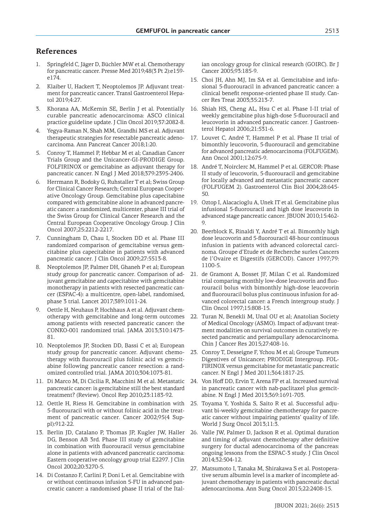# **References**

- 1. Springfeld C, Jäger D, Büchler MW et al. Chemotherapy for pancreatic cancer. Presse Med 2019;48(3 Pt 2):e159 e174.
- 2. Klaiber U, Hackert T, Neoptolemos JP. Adjuvant treatment for pancreatic cancer. Transl Gastroenterol Hepatol 2019;4:27.
- 3. Khorana AA, McKernin SE, Berlin J et al. Potentially curable pancreatic adenocarcinoma: ASCO clinical practice guideline update. J Clin Oncol 2019;37:2082-8.
- Yegya-Raman N, Shah MM, Grandhi MS et al. Adjuvant therapeutic strategies for resectable pancreatic adenocarcinoma. Ann Pancreat Cancer 2018;1:20.
- 5. Conroy T, Hammel P, Hebbar M et al; Canadian Cancer Trials Group and the Unicancer-GI-PRODIGE Group. FOLFIRINOX or gemcitabine as adjuvant therapy for pancreatic cancer. N Engl J Med 2018;379:2395-2406.
- 6. Herrmann R, Bodoky G, Ruhstaller T et al; Swiss Group for Clinical Cancer Research; Central European Cooperative Oncology Group. Gemcitabine plus capecitabine compared with gemcitabine alone in advanced pancreatic cancer: a randomized, multicenter, phase III trial of the Swiss Group for Clinical Cancer Research and the Central European Cooperative Oncology Group. J Clin Oncol 2007;25:2212-2217.
- 7. Cunningham D, Chau I, Stocken DD et al. Phase III randomized comparison of gemcitabine versus gemcitabine plus capecitabine in patients with advanced pancreatic cancer. J Clin Oncol 2009;27:5513-8.
- 8. Neoptolemos JP, Palmer DH, Ghaneh P et al; European study group for pancreatic cancer. Comparison of adjuvant gemcitabine and capecitabine with gemcitabine monotherapy in patients with resected pancreatic cancer (ESPAC-4): a multicentre, open-label, randomised, phase 3 trial. Lancet 2017;389:1011-24.
- 9. Oettle H, Neuhaus P, Hochhaus A et al. Adjuvant chemotherapy with gemcitabine and long-term outcomes among patients with resected pancreatic cancer: the CONKO-001 randomized trial. JAMA 2013;310:1473- 81.
- 10. Neoptolemos JP, Stocken DD, Bassi C et al; European study group for pancreatic cancer. Adjuvant chemotherapy with fluorouracil plus folinic acid vs gemcitabine following pancreatic cancer resection: a randomized controlled trial. JAMA 2010;304:1073-81.
- 11. Di Marco M, Di Cicilia R, Macchini M et al. Metastatic pancreatic cancer: is gemcitabine still the best standard treatment? (Review). Oncol Rep 2010;23:1183-92.
- 12. Oettle H, Riess H. Gemcitabine in combination with 5-fluorouracil with or without folinic acid in the treatment of pancreatic cancer. Cancer 2002;95(4 Suppl):912-22.
- 13. Berlin JD, Catalano P, Thomas JP, Kugler JW, Haller DG, Benson AB 3rd. Phase III study of gemcitabine in combination with fluorouracil versus gemcitabine alone in patients with advanced pancreatic carcinoma: Eastern cooperative oncology group trial E2297. J Clin Oncol 2002;20:3270-5.
- 14. Di Costanzo F, Carlini P, Doni L et al. Gemcitabine with or without continuous infusion 5-FU in advanced pancreatic cancer: a randomised phase II trial of the Ital-

ian oncology group for clinical research (GOIRC). Br J Cancer 2005;93:185-9.

- 15. Choi JH, Ahn MJ, Im SA et al. Gemcitabine and infusional 5-fluorouracil in advanced pancreatic cancer: a clinical benefit response-oriented phase II study. Cancer Res Treat 2003;35:213-7.
- 16. Shiah HS, Cheng AL, Hsu C et al. Phase I-II trial of weekly gemcitabine plus high-dose 5-fluorouracil and leucovorin in advanced pancreatic cancer. J Gastroenterol Hepatol 2006;21:531-6.
- 17. Louvet C, André T, Hammel P et al. Phase II trial of bimonthly leucovorin, 5-fluorouracil and gemcitabine for advanced pancreatic adenocarcinoma (FOLFUGEM). Ann Oncol 2001;12:675-9.
- 18. André T, Noirclerc M, Hammel P et al. GERCOR: Phase II study of leucovorin, 5-fluorouracil and gemcitabine for locally advanced and metastatic pancreatic cancer (FOLFUGEM 2). Gastroenterol Clin Biol 2004;28:645- 50.
- 19. Oztop I, Alacacioglu A, Unek IT et al. Gemcitabine plus infusional 5-fluorouracil and high dose leucovorin in advanced stage pancreatic cancer. JBUON 2010;15:462-  $Q$
- 20. Beerblock K, Rinaldi Y, André T et al. Bimonthly high dose leucovorin and 5-fluorouracil 48-hour continuous infusion in patients with advanced colorectal carcinoma. Groupe d'Etude et de Recherche surles Cancers de l'Ovaire et Digestifs (GERCOD). Cancer 1997;79: 1100-5.
- 21. de Gramont A, Bosset JF, Milan C et al. Randomized trial comparing monthly low-dose leucovorin and fluorouracil bolus with bimonthly high-dose leucovorin and fluorouracil bolus plus continuous infusion for advanced colorectal cancer: a French intergroup study. J Clin Oncol 1997;15:808-15.
- 22. Turan N, Benekli M, Unal OU et al; Anatolian Society of Medical Oncology (ASMO). Impact of adjuvant treatment modalities on survival outcomes in curatively resected pancreatic and periampullary adenocarcinoma. Chin J Cancer Res 2015;27:408-16.
- 23. Conroy T, Desseigne F, Ychou M et al; Groupe Tumeurs Digestives of Unicancer; PRODIGE Intergroup. FOL-FIRINOX versus gemcitabine for metastatic pancreatic cancer. N Engl J Med 2011;364:1817-25.
- 24. Von Hoff DD, Ervin T, Arena FP et al. Increased survival in pancreatic cancer with nab-paclitaxel plus gemcitabine. N Engl J Med 2013;369:1691-703.
- 25. Toyama Y, Yoshida S, Saito R et al. Successful adjuvant bi-weekly gemcitabine chemotherapy for pancreatic cancer without impairing patients' quality of life. World J Surg Oncol 2013;11:3.
- 26. Valle JW, Palmer D, Jackson R et al. Optimal duration and timing of adjuvant chemotherapy after definitive surgery for ductal adenocarcinoma of the pancreas: ongoing lessons from the ESPAC-3 study. J Clin Oncol 2014;32:504-12.
- 27. Matsumoto I, Tanaka M, Shirakawa S et al. Postoperative serum albumin level is a marker of incomplete adjuvant chemotherapy in patients with pancreatic ductal adenocarcinoma. Ann Surg Oncol 2015;22:2408-15.